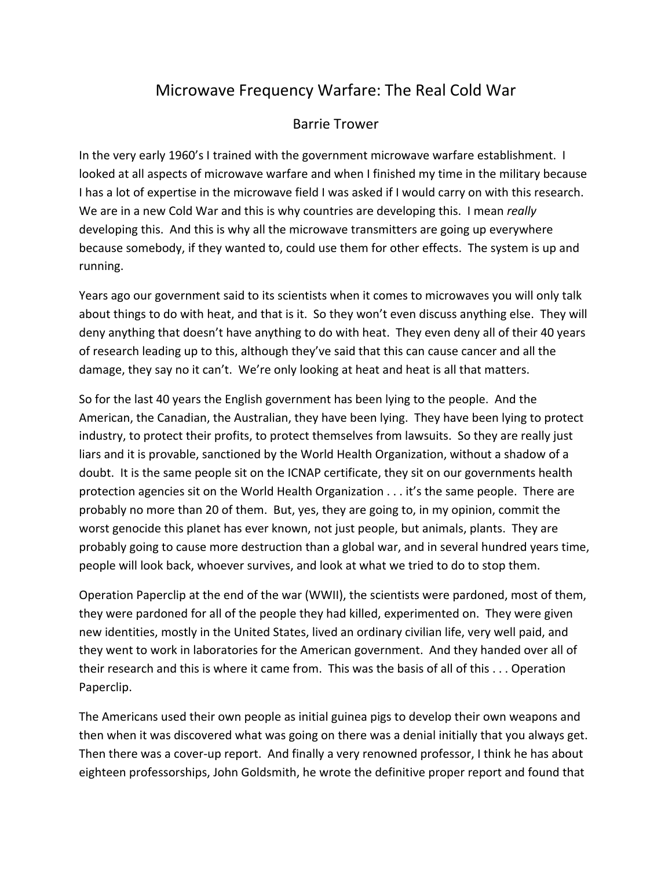## Microwave Frequency Warfare: The Real Cold War

## Barrie Trower

In the very early 1960's I trained with the government microwave warfare establishment. I looked at all aspects of microwave warfare and when I finished my time in the military because I has a lot of expertise in the microwave field I was asked if I would carry on with this research. We are in a new Cold War and this is why countries are developing this. I mean *really* developing this. And this is why all the microwave transmitters are going up everywhere because somebody, if they wanted to, could use them for other effects. The system is up and running.

Years ago our government said to its scientists when it comes to microwaves you will only talk about things to do with heat, and that is it. So they won't even discuss anything else. They will deny anything that doesn't have anything to do with heat. They even deny all of their 40 years of research leading up to this, although they've said that this can cause cancer and all the damage, they say no it can't. We're only looking at heat and heat is all that matters.

So for the last 40 years the English government has been lying to the people. And the American, the Canadian, the Australian, they have been lying. They have been lying to protect industry, to protect their profits, to protect themselves from lawsuits. So they are really just liars and it is provable, sanctioned by the World Health Organization, without a shadow of a doubt. It is the same people sit on the ICNAP certificate, they sit on our governments health protection agencies sit on the World Health Organization . . . it's the same people. There are probably no more than 20 of them. But, yes, they are going to, in my opinion, commit the worst genocide this planet has ever known, not just people, but animals, plants. They are probably going to cause more destruction than a global war, and in several hundred years time, people will look back, whoever survives, and look at what we tried to do to stop them.

Operation Paperclip at the end of the war (WWII), the scientists were pardoned, most of them, they were pardoned for all of the people they had killed, experimented on. They were given new identities, mostly in the United States, lived an ordinary civilian life, very well paid, and they went to work in laboratories for the American government. And they handed over all of their research and this is where it came from. This was the basis of all of this . . . Operation Paperclip.

The Americans used their own people as initial guinea pigs to develop their own weapons and then when it was discovered what was going on there was a denial initially that you always get. Then there was a cover-up report. And finally a very renowned professor, I think he has about eighteen professorships, John Goldsmith, he wrote the definitive proper report and found that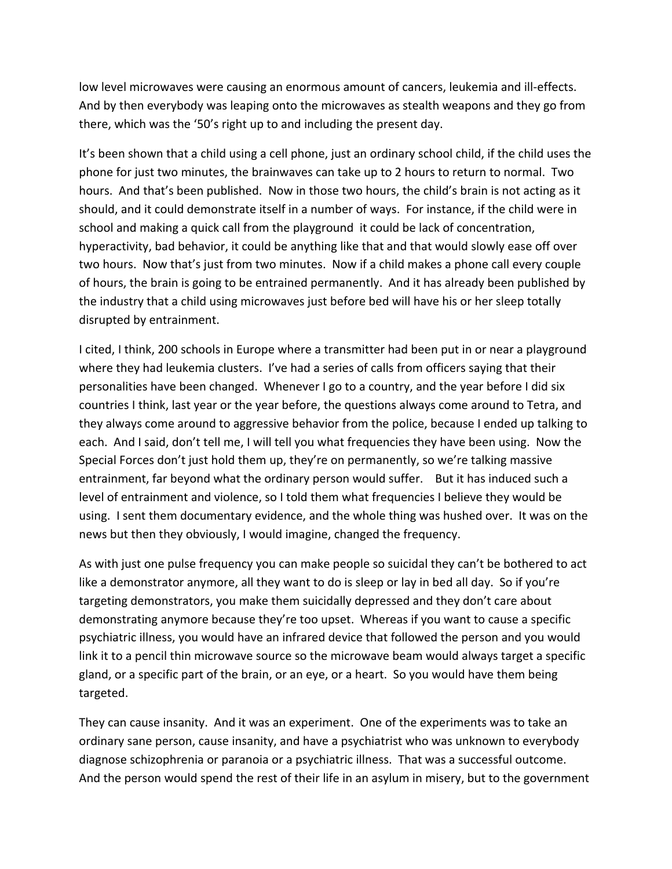low level microwaves were causing an enormous amount of cancers, leukemia and ill-effects. And by then everybody was leaping onto the microwaves as stealth weapons and they go from there, which was the '50's right up to and including the present day.

It's been shown that a child using a cell phone, just an ordinary school child, if the child uses the phone for just two minutes, the brainwaves can take up to 2 hours to return to normal. Two hours. And that's been published. Now in those two hours, the child's brain is not acting as it should, and it could demonstrate itself in a number of ways. For instance, if the child were in school and making a quick call from the playground it could be lack of concentration, hyperactivity, bad behavior, it could be anything like that and that would slowly ease off over two hours. Now that's just from two minutes. Now if a child makes a phone call every couple of hours, the brain is going to be entrained permanently. And it has already been published by the industry that a child using microwaves just before bed will have his or her sleep totally disrupted by entrainment.

I cited, I think, 200 schools in Europe where a transmitter had been put in or near a playground where they had leukemia clusters. I've had a series of calls from officers saying that their personalities have been changed. Whenever I go to a country, and the year before I did six countries I think, last year or the year before, the questions always come around to Tetra, and they always come around to aggressive behavior from the police, because I ended up talking to each. And I said, don't tell me, I will tell you what frequencies they have been using. Now the Special Forces don't just hold them up, they're on permanently, so we're talking massive entrainment, far beyond what the ordinary person would suffer. But it has induced such a level of entrainment and violence, so I told them what frequencies I believe they would be using. I sent them documentary evidence, and the whole thing was hushed over. It was on the news but then they obviously, I would imagine, changed the frequency.

As with just one pulse frequency you can make people so suicidal they can't be bothered to act like a demonstrator anymore, all they want to do is sleep or lay in bed all day. So if you're targeting demonstrators, you make them suicidally depressed and they don't care about demonstrating anymore because they're too upset. Whereas if you want to cause a specific psychiatric illness, you would have an infrared device that followed the person and you would link it to a pencil thin microwave source so the microwave beam would always target a specific gland, or a specific part of the brain, or an eye, or a heart. So you would have them being targeted.

They can cause insanity. And it was an experiment. One of the experiments was to take an ordinary sane person, cause insanity, and have a psychiatrist who was unknown to everybody diagnose schizophrenia or paranoia or a psychiatric illness. That was a successful outcome. And the person would spend the rest of their life in an asylum in misery, but to the government